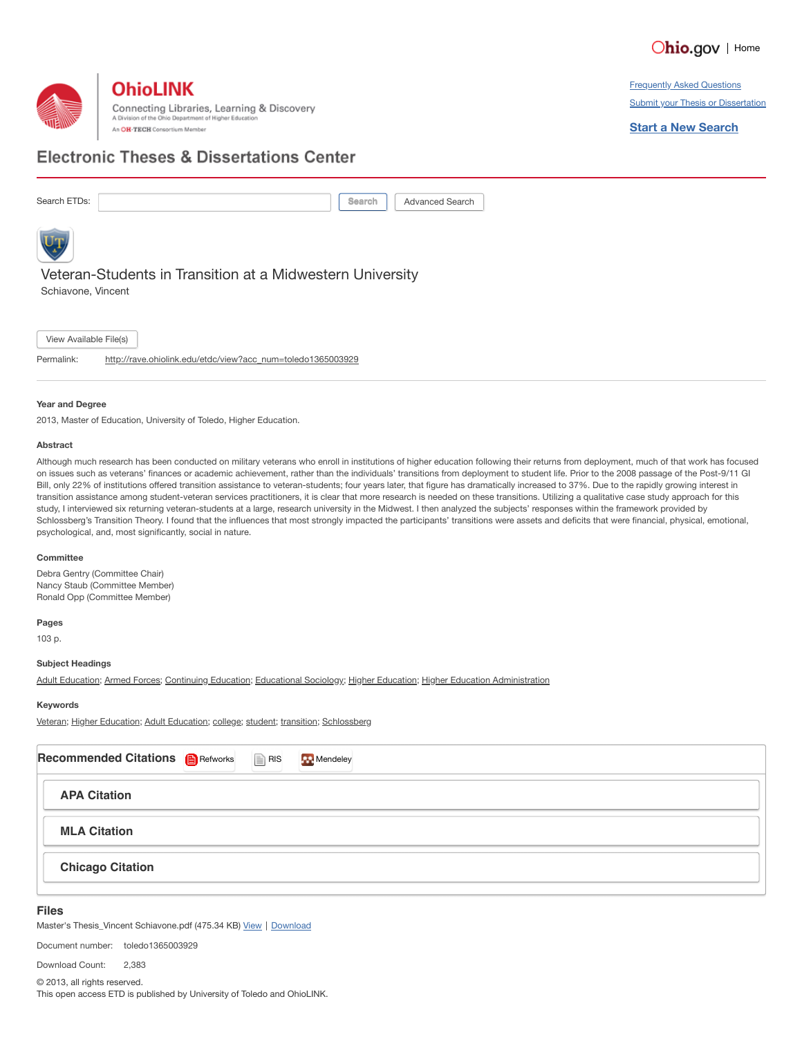



**Frequently Asked Questions Submit your Thesis or Dissertation** 

**Start a New Search**

## **Electronic Theses & Dissertations Center**

Search ETDs: **Search ETDs: Search ARTICLE** Search **Search** Advanced Search



Veteran-Students in Transition at a Midwestern University Schiavone, Vincent

View Available File(s)

Permalink: [http://rave.ohiolink.edu/etdc/view?acc\\_num=toledo1365003929](http://rave.ohiolink.edu/etdc/view?acc_num=toledo1365003929)

#### **Year and Degree**

2013, Master of Education, University of Toledo, Higher Education.

#### **Abstract**

Although much research has been conducted on military veterans who enroll in institutions of higher education following their returns from deployment, much of that work has focused on issues such as veterans' finances or academic achievement, rather than the individuals' transitions from deployment to student life. Prior to the 2008 passage of the Post-9/11 GI Bill, only 22% of institutions offered transition assistance to veteran-students; four years later, that figure has dramatically increased to 37%. Due to the rapidly growing interest in transition assistance among student-veteran services practitioners, it is clear that more research is needed on these transitions. Utilizing a qualitative case study approach for this study, I interviewed six returning veteran-students at a large, research university in the Midwest. I then analyzed the subjects' responses within the framework provided by Schlossberg's Transition Theory. I found that the influences that most strongly impacted the participants' transitions were assets and deficits that were financial, physical, emotional, psychological, and, most significantly, social in nature.

#### **Committee**

Debra Gentry (Committee Chair) Nancy Staub (Committee Member) Ronald Opp (Committee Member)

#### **Pages**

103 p.

#### **Subject Headings**

Adult [Education](https://etd.ohiolink.edu/pg_6?::NO:6:P6_SUBJECTS:225&cs=1_Vv4CfKusGQezIjf7e4mLa9i5SFnYPRNwR-0izACGKl2rttDQ5iWxsJXBNeLHQHw7KiF5pGBwQKgcoi5IenWVQ); Armed [Forces](https://etd.ohiolink.edu/pg_6?::NO:6:P6_SUBJECTS:43&cs=1gnHXolkuNyoGwkRb38dwb02P-81D0AZW_afCuXBsrSZhAjl9IJnggZea4lPFm_XZ7YooKCdHLESNxv8X7h9QIg); [Continuing](https://etd.ohiolink.edu/pg_6?::NO:6:P6_SUBJECTS:119&cs=1Z9XmBJCCY2jyxSadm6-Ind82hY7PccqzWopUIogu2jLaPnS3zYn9zLNxyrP4lwAvLOPMM9_JP8wUyOegjDiVBw) Education; [Educational](https://etd.ohiolink.edu/pg_6?::NO:6:P6_SUBJECTS:147&cs=1xKDMGmvS0zF73L526ShBHJDW4GYDJFQtCgGD0cdqFwA7ILz1qFF5reXqD9uXhbhjC4hY0URNB0IQ46ejr_q7cQ) Sociology; Higher Education; Higher Education [Administration](https://etd.ohiolink.edu/pg_6?::NO:6:P6_SUBJECTS:226&cs=1JdxuY6y9q9-8uxnKoh4vbFUtHcwaBXvgjbgaq3hWqYBgPHssBnSFt1lFrT3YYmSaQ6A4Kkp422o64kuyR8-M_g)

#### **Keywords**

[Veteran;](https://etd.ohiolink.edu/pg_6?::NO:6:P6_KEYWORDS:Veteran&cs=1d1IWnzw_gTk5Y9gAB5N9JkOd2elJRibWv_MV1vWJvKCOhqA5EpakyClj8dgItv2HM_2McN3vZdwl8x4SM9_FpA) Higher [Education;](https://etd.ohiolink.edu/pg_6?::NO:6:P6_KEYWORDS:%20Higher%20Education&cs=1HaPTgMTZo3YMmYmDKIix8NGOrKRcwtV3AlbFyx5HWE8CDxIrcgRMUZyR7hREdaLjOHoY9LbMtKGEUYRni6zmQw) Adult [Education;](https://etd.ohiolink.edu/pg_6?::NO:6:P6_KEYWORDS:%20Adult%20Education&cs=10zQw_lzYtCfpnOvc3Og7Xrqmolh61jtJp74y4VUb24Pvx_nceqvfZvmTXkGhoFpP9BzaFd-pN8m-jnVaSDzaMA) [college](https://etd.ohiolink.edu/pg_6?::NO:6:P6_KEYWORDS:%20college&cs=1wT2P8T74s47Qo5fzQDZOJIdhxXWkfp-ouZnwCgot7uGUzl8F7gsDoActCjJLQQ3TV4-Ijm2zCmvxguNyfexJTw); [student;](https://etd.ohiolink.edu/pg_6?::NO:6:P6_KEYWORDS:%20student&cs=1jW4595g4m4jisgroOJNgJ6LolEghKZduX145gnnIFAW78vdhtIrVSISn7O6A5pxNfeu97Bk9s9-IaT0lj4t-rw) [transition](https://etd.ohiolink.edu/pg_6?::NO:6:P6_KEYWORDS:%20transition&cs=1s2DaSea0lNVLZR-RtVP1E09pC6_S6xE6zsdWddY5g38AQkG7XhOPOaIUcpSJU6PbNRb2x5HKGzjeOPOnr8gvQA); [Schlossberg](https://etd.ohiolink.edu/pg_6?::NO:6:P6_KEYWORDS:%20Schlossberg&cs=1YxUD4MHXOrdsgCDm_lEGsqbFbAxbwrXHAYkTkcLxacPxvwQ4bfho2yRM6FiGXCe9R0o7ne566D3vOXzsfJRknw)

| <b>Recommended Citations B</b> Refworks | $\mathbf{R}$ RIS | Mendeley |
|-----------------------------------------|------------------|----------|
| <b>APA Citation</b>                     |                  |          |
| <b>MLA Citation</b>                     |                  |          |
| <b>Chicago Citation</b>                 |                  |          |
|                                         |                  |          |

#### **Files**

Master's Thesis\_Vincent Schiavone.pdf (475.34 KB) [View](https://etd.ohiolink.edu/!etd.send_file?accession=toledo1365003929&disposition=inline) | [Download](https://etd.ohiolink.edu/!etd.send_file?accession=toledo1365003929&disposition=attachment)

Document number: toledo1365003929

Download Count: 2,383

© 2013, all rights reserved.

This open access ETD is published by University of Toledo and OhioLINK.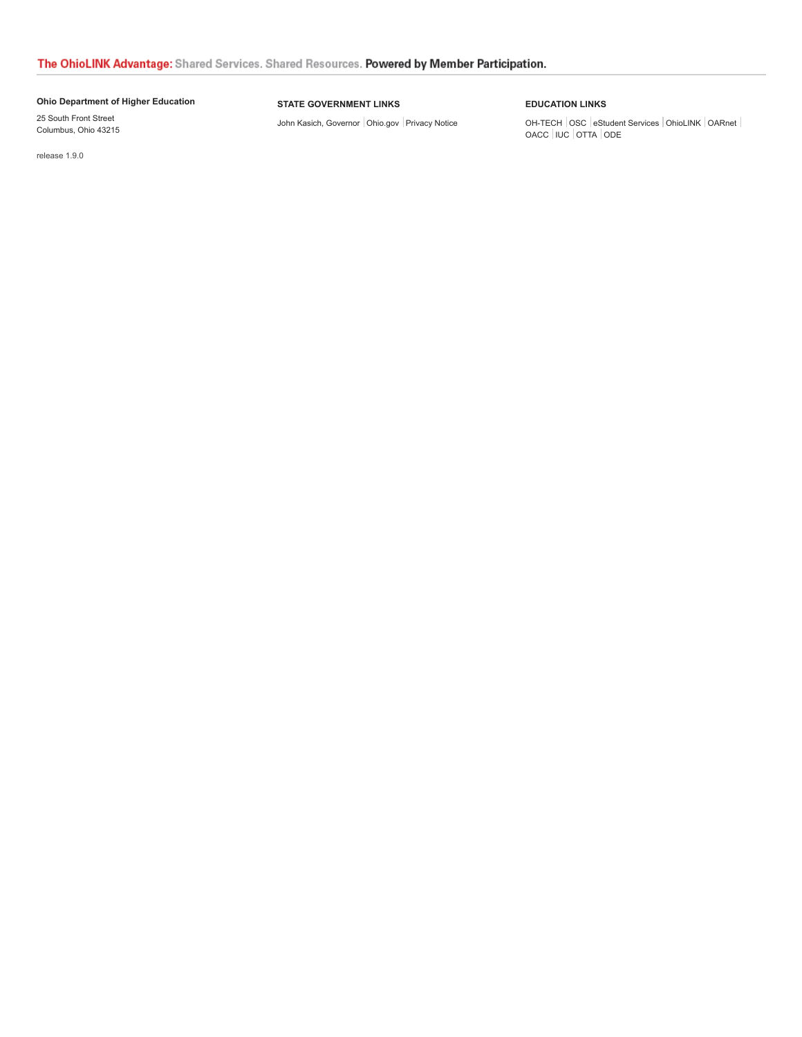#### **[Ohio Department of Higher Education](http://www.ohiohighered.org/)**

25 South Front Street Columbus, Ohio 43215

#### **STATE GOVERNMENT LINKS**

[John Kasich, Governor](http://www.governor.ohio.gov/) | [Ohio.gov](http://www.ohio.gov/) | [Privacy Notice](http://ohio.gov/policies/)

#### **EDUCATION LINKS**

OH-TECH [OSC](http://www.osc.edu/) [eStudent Services](http://www.estudentservices.org/) [OhioLINK](http://www.ohiolink.edu/) [OARnet](http://www.oar.net/) [OACC](http://www.ohiocommunitycolleges.org/) [IUC](http://www.iuc-ohio.org/) [OTTA](http://www.collegeadvantage.com/) [ODE](http://www.ode.state.oh.us/)

release 1.9.0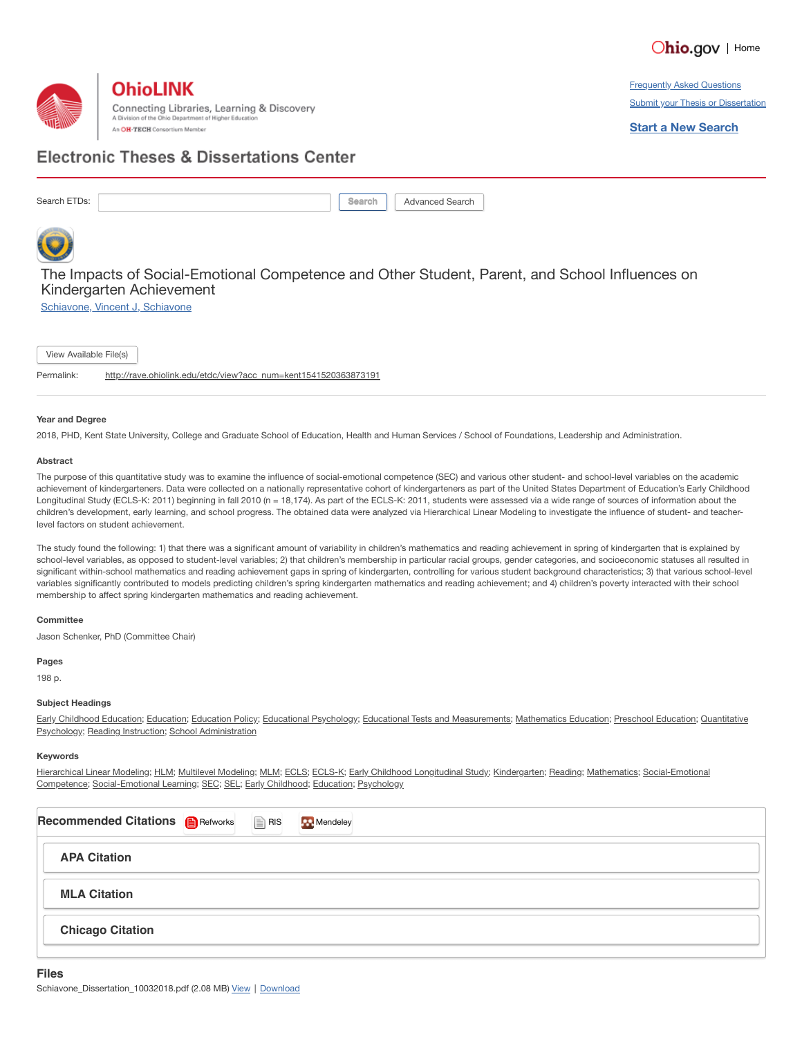



**Frequently Asked Questions Submit your Thesis or Dissertation** 

**Start a New Search**

## **Electronic Theses & Dissertations Center**

Search ETDs: **Search ETDs: Search ARTICLE** Search **Seearch** Advanced Search



### The Impacts of Social-Emotional Competence and Other Student, Parent, and School Influences on Kindergarten Achievement

[Schiavone,](mailto:vschiavone@rocketmail.com) Vincent J, Schiavone

View Available File(s)

Permalink: [http://rave.ohiolink.edu/etdc/view?acc\\_num=kent1541520363873191](http://rave.ohiolink.edu/etdc/view?acc_num=kent1541520363873191)

#### **Year and Degree**

2018, PHD, Kent State University, College and Graduate School of Education, Health and Human Services / School of Foundations, Leadership and Administration.

#### **Abstract**

The purpose of this quantitative study was to examine the influence of social-emotional competence (SEC) and various other student- and school-level variables on the academic achievement of kindergarteners. Data were collected on a nationally representative cohort of kindergarteners as part of the United States Department of Education's Early Childhood Longitudinal Study (ECLS-K: 2011) beginning in fall 2010 (n = 18,174). As part of the ECLS-K: 2011, students were assessed via a wide range of sources of information about the children's development, early learning, and school progress. The obtained data were analyzed via Hierarchical Linear Modeling to investigate the influence of student- and teacherlevel factors on student achievement.

The study found the following: 1) that there was a significant amount of variability in children's mathematics and reading achievement in spring of kindergarten that is explained by school-level variables, as opposed to student-level variables; 2) that children's membership in particular racial groups, gender categories, and socioeconomic statuses all resulted in significant within-school mathematics and reading achievement gaps in spring of kindergarten, controlling for various student background characteristics; 3) that various school-level variables significantly contributed to models predicting children's spring kindergarten mathematics and reading achievement; and 4) children's poverty interacted with their school membership to affect spring kindergarten mathematics and reading achievement.

#### **Committee**

Jason Schenker, PhD (Committee Chair)

**Pages**

198 p.

#### **Subject Headings**

[Early Childhood](https://etd.ohiolink.edu/pg_6?::NO:6:P6_SUBJECTS:136&cs=1GXF7N2YBV9j9RY028e3X7xSp2IuGlsgbiSsK056qPZiZKAmo1gKfiWoNgWrTCkgEOKYx5XN-vuOY9RNdgooZ6g) [Education](https://etd.ohiolink.edu/pg_6?::NO:6:P6_SUBJECTS:155&cs=1UTk_q4P_Cdphr3EnQc2gn5oh4wPuslGiR2JkoYsjYDmX8zl8tBfeN7xBQ5SnRS-euBiU4drb60vi3wcFBm2yjg); Education; Education Policy; [Educational](https://etd.ohiolink.edu/pg_6?::NO:6:P6_SUBJECTS:146&cs=11-TTPx05cxje74P4lLavpPdqr8ZCJ1v5pBRcdxkj-GdvvOXVbQ2H9_6Ye0UuB84teDAzXpsC-dhnOJAqM09XQA) Psychology; Educational Tests and [Measurements;](https://etd.ohiolink.edu/pg_6?::NO:6:P6_SUBJECTS:150&cs=1_9iBcMvKKD6DatO708qBF-CDbSKT9Kml7WVVfg4y8u2FwksnkNzAQKFV8x1AygQd0DzcYqwrIOdd2ulAKvVrKQ) [M](https://etd.ohiolink.edu/pg_6?::NO:6:P6_SUBJECTS:418&cs=1Lu-MrR6664hahwmGDSaXjYM7aSLHzVK4OO2gPtOC2XEPw7jud7PfHxXGtOIHzpk7TsOKBAZIzBeYJliDeNBWiw)[athematics Educatio](https://etd.ohiolink.edu/pg_6?::NO:6:P6_SUBJECTS:288&cs=1fctoibcz-S7Z0x3HYPohIGrJsfsJMYc_Cjx43J9pkCraUERdc4eOrHV-nNgvAxvzWo1CDWpVHtRkcPdbTiPV-A)[n;](https://etd.ohiolink.edu/pg_6?::NO:6:P6_SUBJECTS:418&cs=1Lu-MrR6664hahwmGDSaXjYM7aSLHzVK4OO2gPtOC2XEPw7jud7PfHxXGtOIHzpk7TsOKBAZIzBeYJliDeNBWiw) [Preschool](https://etd.ohiolink.edu/pg_6?::NO:6:P6_SUBJECTS:409&cs=1V2AkjmWvznGKCOAI7ywTn_ehklT1Djeu_qJpWMOMhuTwpLN2-HuJ1k3xLhCvlakMlQSHXF5ZPNrxQWgTsCog0g) Education; Quantitative Psychology; Reading [Instruction;](https://etd.ohiolink.edu/pg_6?::NO:6:P6_SUBJECTS:423&cs=1HtxuR9JqTJKPNtcO8jWYHVMSkMaM5Lclf7DZvrDo_ARJd50wRfs0UOkad3p01d3Jk8zGaex8loQjfXq5UW4GBw) School [Administration](https://etd.ohiolink.edu/pg_6?::NO:6:P6_SUBJECTS:439&cs=12nbSgQoTYpATwCZgPL3l_U8Ms0FYBmhhNicJF4hxDcMGPPnCk1cwhTiWW7LGPdx_zFUw5jwcyKpIr9V35cm9iQ)

#### **Keywords**

[Hierarchical](https://etd.ohiolink.edu/pg_6?::NO:6:P6_KEYWORDS:Hierarchical%20Linear%20Modeling&cs=1GTLd2rg9GXBKskLKkF9xRZZfHLMAk-0EMTYSHOOivMtiugII1j13fPYAASyZfjr5KQW9zEgsl3GAI-ABHB_lFg) Linear Modeling; [HLM](https://etd.ohiolink.edu/pg_6?::NO:6:P6_KEYWORDS:%20HLM&cs=17ur1z7gZJuZ4JUULdsynDYJWSzo72SVPobGMIqVrqnRbwX7QklXK_745lRs1YxkTG1_-i1AKTN1vURcoPmccgg); [Multilevel](https://etd.ohiolink.edu/pg_6?::NO:6:P6_KEYWORDS:%20Multilevel%20Modeling&cs=1TIT_Kt1Junn4rMdw6Pga4gpXHAuCWVdMas-x_HsU9ezxPRrDxnhcsM0nWtfqyWgpGMNEVStpjSsVqEZ312m1vQ) Modeling; [MLM;](https://etd.ohiolink.edu/pg_6?::NO:6:P6_KEYWORDS:%20MLM&cs=1zw7-OoGM5fYGTS9q2U5PZYu8EoUlqemGzOapSt33bqW-uLX4MCiOlshEuWp3Jt8XgdMytn6cywYEMv4ESJz52A) [ECLS;](https://etd.ohiolink.edu/pg_6?::NO:6:P6_KEYWORDS:%20ECLS&cs=1UokbDfL3F1B9tjVFQiQ7dmvZHWhfzyhyjp8ZIPKpcSIwjN3UPYmBF9Ns6ygYsC1A8QOI1C3k-QrGO6EMTBzP1A) [ECLS-K;](https://etd.ohiolink.edu/pg_6?::NO:6:P6_KEYWORDS:%20ECLS-K&cs=1XvgGo1WNrg1nVivVKmxJSzMwgT22eLBJ0Nc7O2XzpLrgbONpll3pWYlwWrIR0GFLPgqIzxbZM5kR5LF7cIzWYg) [Early Childhood](https://etd.ohiolink.edu/pg_6?::NO:6:P6_KEYWORDS:%20Early%20Childhood%20Longitudinal%20Study&cs=1r0pQU5cOobW2vgBoMwd3HUN6XgP3ClxXsBvZkB-EMgV2XSUVI0a8xQRk1iIrJHdaY47WmS2tQHJqNsddUrt62A) Longitudinal Study; [Kindergarten;](https://etd.ohiolink.edu/pg_6?::NO:6:P6_KEYWORDS:%20Kindergarten&cs=1jhmY3EAoXY_XXsy78JeetM6roxVpRHdEDfhUCtUaE6iM8fqGMe2cIuUyOf1UvmolLe_zZsqrYlTOqs0slcOi2w) [Reading;](https://etd.ohiolink.edu/pg_6?::NO:6:P6_KEYWORDS:%20Reading&cs=1hhDEWq2AZmNNakgqtho2yN_DkRcqTFkx5uKLAOFQQfR2HHhfea1fVJ3XxffTzLf5rMgMl2HrAqHKHk9efmL3NA) [Mathematics](https://etd.ohiolink.edu/pg_6?::NO:6:P6_KEYWORDS:%20Mathematics&cs=1u1H65OZVSNDhKF8bPIoThO0bWsCcoRADuVHCSJ5aKz8TKfc16f6jBv61MbAFt8KiK3p97b80qEM6ZhfSppK-cg); Social-Emotional Competence; [Social-Emotional](https://etd.ohiolink.edu/pg_6?::NO:6:P6_KEYWORDS:%20Social-Emotional%20Competence&cs=1_vG1YqOdHH_Bq3PiGit3SqSSQM67rJ345PhsDYcvMkAJSivhmd43YzkqZfPvIYBdw4Xij8FcoDgAsgDH6bbuTQ) Learning; [SEC](https://etd.ohiolink.edu/pg_6?::NO:6:P6_KEYWORDS:%20SEC&cs=1YfrVb-sn7deeJlwhJsglVgTy4RdD4fYV8o4T4vCHd6J1TPLr5B8rpGGlfWUDnXdLQMJzQ3F3Jneh2KHzsn0OQQ); [SEL;](https://etd.ohiolink.edu/pg_6?::NO:6:P6_KEYWORDS:%20SEL&cs=1BBT_CKO9DPY0WC8IXkS6cpJJtQdbtR34hwYjtEQyXFMT75nEMPYePXfk3kOiPUwANDv2aKbU8p1cEo21W5jI9g) [Early Childhood](https://etd.ohiolink.edu/pg_6?::NO:6:P6_KEYWORDS:%20Early%20Childhood&cs=1va0pyetHUno8WVal95tzKvbU1jeOZ5k_yhDb1CbUusHvwdeGm7dYTKZD3qmYoHS5JXx-aZn6i3goNRFPCVMHzg); [Education](https://etd.ohiolink.edu/pg_6?::NO:6:P6_KEYWORDS:%20Education&cs=1zUM2_9mFapksSoXBqRgohq_Nzl4LcdyYgi9sb3k8CEO_D_ko0FCqW2MwOE7UBRZ11m0Z8v0ZkNrVTl-BmK5FIw); [Psychology](https://etd.ohiolink.edu/pg_6?::NO:6:P6_KEYWORDS:%20Psychology&cs=1yuuFNYReyPizDRzsyB5Y2bmzyjF4qh6nnthljD7o-hdDzn2eRqrtG5_IY-RRH0x5rDy2KGn7U6ogXkeECfKL8Q)

| Recommended Citations <b>B</b> Refworks <b>Example</b> RIS | _____ | Mendeley<br>the contract of the contract of the |
|------------------------------------------------------------|-------|-------------------------------------------------|
| <b>APA Citation</b>                                        |       |                                                 |
| <b>MLA Citation</b>                                        |       |                                                 |
| <b>Chicago Citation</b>                                    |       |                                                 |
|                                                            |       |                                                 |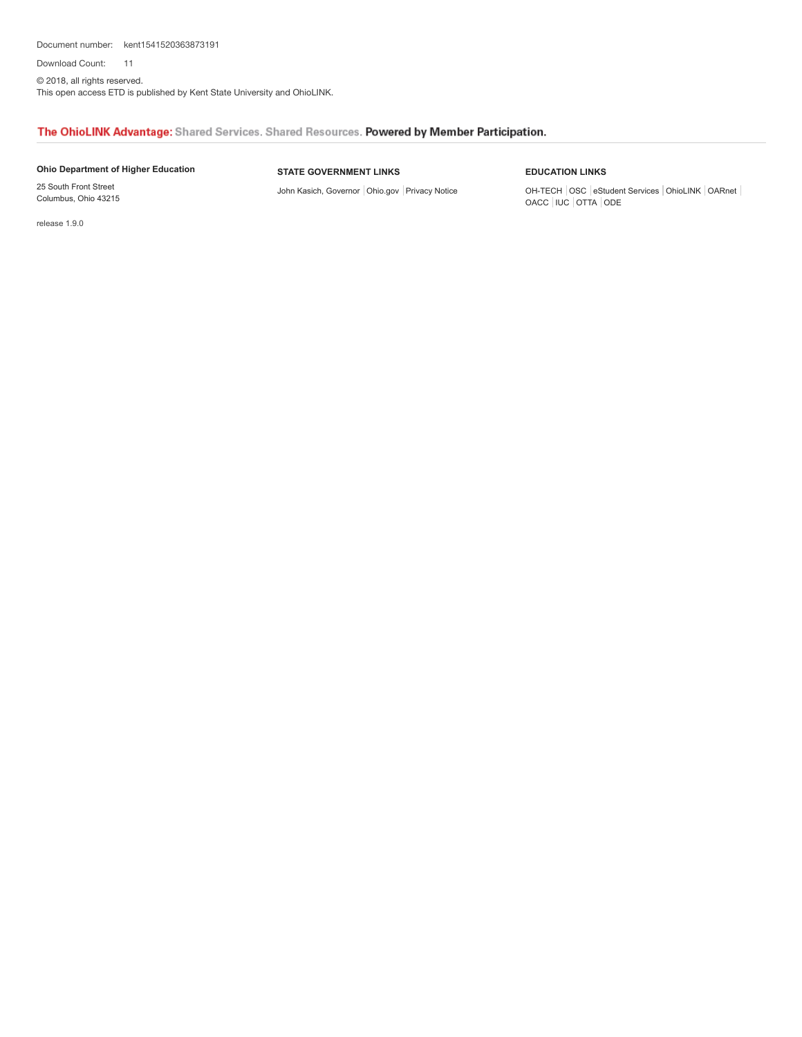Document number: kent1541520363873191 11

Download Count:

© 2018, all rights reserved. This open access ETD is published by Kent State University and OhioLINK.

#### The OhioLINK Advantage: Shared Services. Shared Resources. Powered by Member Participation.

#### **[Ohio Department of Higher Education](http://www.ohiohighered.org/)**

#### **STATE GOVERNMENT LINKS**

[John Kasich, Governor](http://www.governor.ohio.gov/) | [Ohio.gov](http://www.ohio.gov/) | [Privacy Notice](http://ohio.gov/policies/)

#### **EDUCATION LINKS**

OH-TECH [OSC](http://www.osc.edu/) [eStudent Services](http://www.estudentservices.org/) [OhioLINK](http://www.ohiolink.edu/) [OARnet](http://www.oar.net/) [OACC](http://www.ohiocommunitycolleges.org/) [IUC](http://www.iuc-ohio.org/) [OTTA](http://www.collegeadvantage.com/) [ODE](http://www.ode.state.oh.us/)

release 1.9.0

25 South Front Street Columbus, Ohio 43215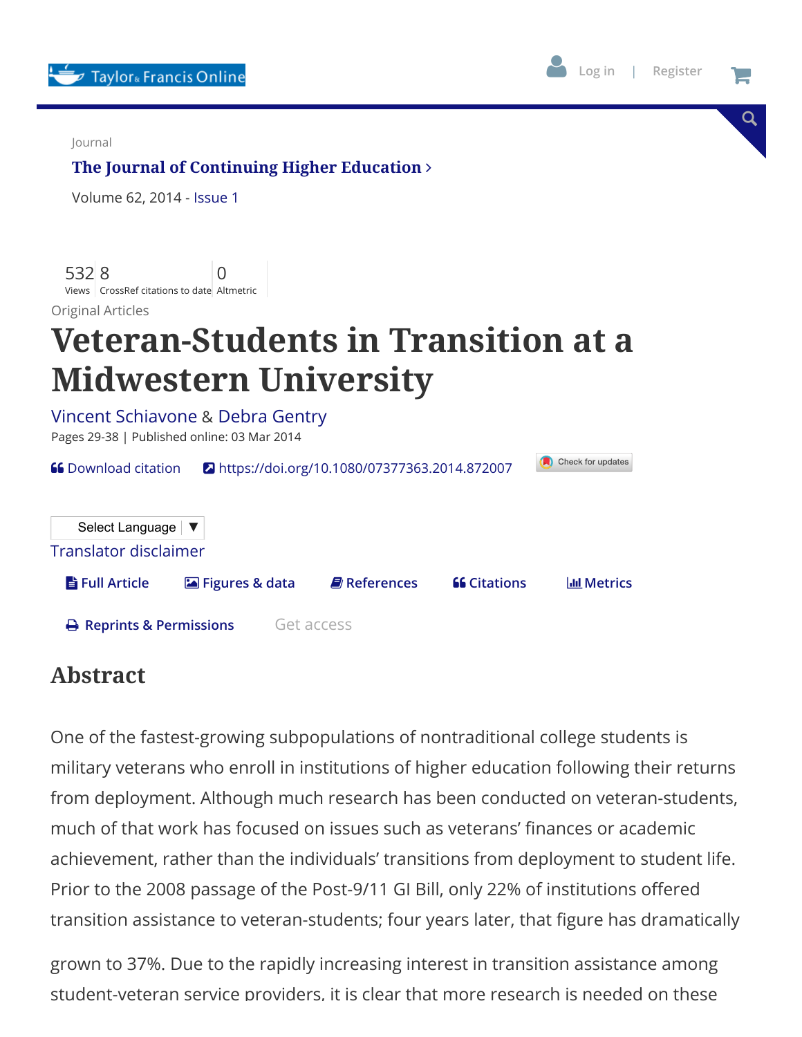



Q

Journal

# **[The Journal of Continuing Higher Education](https://www.tandfonline.com/toc/ujch20/current)**

Volume 62, 2014 - [Issue](https://www.tandfonline.com/toc/ujch20/62/1) 1

532 Views 8 CrossRef citations to date Altmetric 0

Original Articles

# **Veteran-Students in Transition at a Midwestern University**

| Pages 29-38   Published online: 03 Mar 2014  | Vincent Schiavone & Debra Gentry                                  |                           |                     |                     |  |  |  |  |
|----------------------------------------------|-------------------------------------------------------------------|---------------------------|---------------------|---------------------|--|--|--|--|
| <b>66</b> Download citation                  | Check for updates<br>https://doi.org/10.1080/07377363.2014.872007 |                           |                     |                     |  |  |  |  |
| Select Language   ▼<br>Translator disclaimer |                                                                   |                           |                     |                     |  |  |  |  |
| <b>h</b> Full Article                        | <b>Exal Figures &amp; data</b>                                    | $\blacksquare$ References | <b>66 Citations</b> | <b>IIII</b> Metrics |  |  |  |  |
| $\ominus$ Reprints & Permissions             |                                                                   | Get access                |                     |                     |  |  |  |  |

# **Abstract**

One of the fastest-growing subpopulations of nontraditional college students is military veterans who enroll in institutions of higher education following their returns from deployment. Although much research has been conducted on veteran-students, much of that work has focused on issues such as veterans' finances or academic achievement, rather than the individuals' transitions from deployment to student life. Prior to the 2008 passage of the Post-9/11 GI Bill, only 22% of institutions offered transition assistance to veteran-students; four years later, that figure has dramatically

grown to 37%. Due to the rapidly increasing interest in transition assistance among student-veteran service providers, it is clear that more research is needed on these